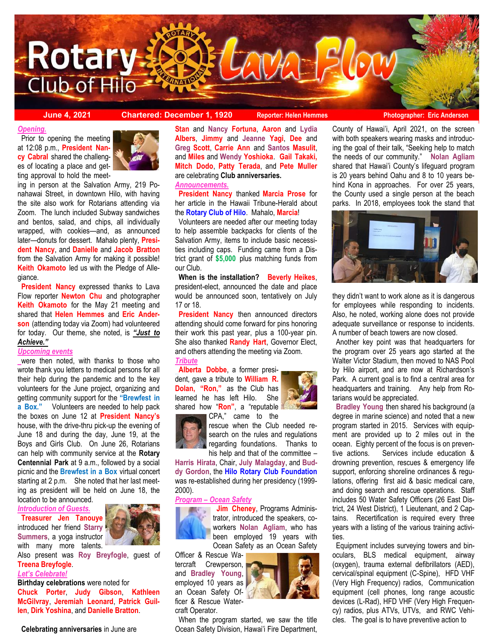

**June 4, 2021 Chartered: December 1, 1920** Reporter: Helen Hemmes Photographer: Eric Anderson

#### *Opening.*

 Prior to opening the meeting at 12:08 p.m., **President Nancy Cabral** shared the challenges of locating a place and getting approval to hold the meet-



ing in person at the Salvation Army, 219 Ponahawai Street, in downtown Hilo, with having the site also work for Rotarians attending via Zoom. The lunch included Subway sandwiches and bentos, salad, and chips, all individually wrapped, with cookies—and, as announced later—donuts for dessert. Mahalo plenty, **President Nancy**, and **Danielle** and **Jacob Bratton**  from the Salvation Army for making it possible! **Keith Okamoto** led us with the Pledge of Allegiance.

**President Nancy** expressed thanks to Lava Flow reporter **Newton Chu** and photographer **Keith Okamoto** for the May 21 meeting and shared that **Helen Hemmes** and **Eric Anderson** (attending today via Zoom) had volunteered for today. Our theme, she noted, is *"Just to Achieve."*

#### *Upcoming events*

were then noted, with thanks to those who wrote thank you letters to medical persons for all their help during the pandemic and to the key volunteers for the June project, organizing and getting community support for the **"Brewfest in a Box."** Volunteers are needed to help pack the boxes on June 12 at **President Nancy's**  house, with the drive-thru pick-up the evening of June 18 and during the day, June 19, at the Boys and Girls Club. On June 26, Rotarians can help with community service at the **Rotary Centennial Park** at 9 a.m., followed by a social picnic and the **Brewfest in a Box** virtual concert starting at 2 p.m. She noted that her last meeting as president will be held on June 18, the

location to be announced.

*Introduction of Guests.*

 **Treasurer Jen Tanouye**  introduced her friend **Starry Summers**, a yoga instructor with many more talents.



Also present was **Roy Breyfogle**, guest of **Treena Breyfogle**.

#### *Let's Celebrate!*

**Birthday celebrations** were noted for **Chuck Porter**, **Judy Gibson**, **Kathleen McGilvray**, **Jeremiah Leonard**, **Patrick Guillen**, **Dirk Yoshina**, and **Danielle Bratton**.

**Stan** and **Nancy Fortuna**, **Aaron** and **Lydia Albers**, **Jimmy** and **Jeanne Yagi**, **Dee** and **Greg Scott**, **Carrie Ann** and **Santos Masulit**, and **Miles** and **Wendy Yoshioka**. **Gail Takaki, Mitch Dodo**, **Patty Terada**, and **Pete Muller**  are celebrating **Club anniversaries.**

## *Announcements.*

 **President Nancy** thanked **Marcia Prose** for her article in the Hawaii Tribune-Herald about the **Rotary Club of Hilo**. Mahalo, **Marcia**!

 Volunteers are needed after our meeting today to help assemble backpacks for clients of the Salvation Army, items to include basic necessities including caps. Funding came from a District grant of **\$5,000** plus matching funds from our Club.

 **When is the installation? Beverly Heikes**, president-elect, announced the date and place would be announced soon, tentatively on July 17 or 18.

 **President Nancy** then announced directors attending should come forward for pins honoring their work this past year, plus a 100-year pin. She also thanked **Randy Hart**, Governor Elect, and others attending the meeting via Zoom. *Tribute*

**Alberta Dobbe**, a former president, gave a tribute to **William R. Dolan, "Ron,"** as the Club has learned he has left Hilo. She shared how "**Ron"**, a "reputable CPA," came to the





rescue when the Club needed research on the rules and regulations regarding foundations. Thanks to his help and that of the committee –

**Harris Hirata**, Chair, **July Malagday**, and **Buddy Gordon**, the **Hilo Rotary Club Foundation**  was re-established during her presidency (1999- 2000).

#### *Program – Ocean Safety*



 **Jim Cheney**, Programs Administrator, introduced the speakers, coworkers **Nolan Agliam**, who has been employed 19 years with Ocean Safety as an Ocean Safety

Officer & Rescue Wa-

 When the program started, we saw the title Ocean Safety Division, Hawai'i Fire Department,

County of Hawai'i, April 2021, on the screen with both speakers wearing masks and introducing the goal of their talk, "Seeking help to match the needs of our community." **Nolan Agliam**  shared that Hawai'i County's lifeguard program is 20 years behind Oahu and 8 to 10 years behind Kona in approaches. For over 25 years, the County used a single person at the beach parks. In 2018, employees took the stand that



they didn't want to work alone as it is dangerous for employees while responding to incidents. Also, he noted, working alone does not provide adequate surveillance or response to incidents. A number of beach towers are now closed.

 Another key point was that headquarters for the program over 25 years ago started at the Walter Victor Stadium, then moved to NAS Pool by Hilo airport, and are now at Richardson's Park. A current goal is to find a central area for headquarters and training. Any help from Rotarians would be appreciated.

 **Bradley Young** then shared his background (a degree in marine science) and noted that a new program started in 2015. Services with equipment are provided up to 2 miles out in the ocean. Eighty percent of the focus is on preventive actions. Services include education & drowning prevention, rescues & emergency life support, enforcing shoreline ordinances & regulations, offering first aid & basic medical care, and doing search and rescue operations. Staff includes 50 Water Safety Officers (26 East District, 24 West District), 1 Lieutenant, and 2 Captains. Recertification is required every three years with a listing of the various training activities.

 Equipment includes surveying towers and binoculars, BLS medical equipment, airway (oxygen), trauma external defibrillators (AED), cervical/spinal equipment (C-Spine), HFD VHF (Very High Frequency) radios, Communication equipment (cell phones, long range acoustic devices (L-Rad), HFD VHF (Very High Frequency) radios, plus ATVs, UTVs, and RWC Vehicles. The goal is to have preventive action to





tercraft Crewperson, and **Bradley Young**, employed 10 years as an Ocean Safety Officer & Rescue Watercraft Operator.